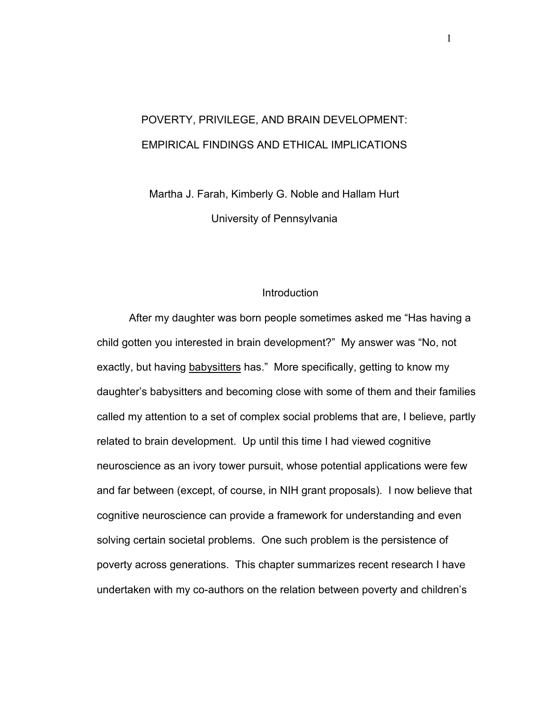# POVERTY, PRIVILEGE, AND BRAIN DEVELOPMENT: EMPIRICAL FINDINGS AND ETHICAL IMPLICATIONS

Martha J. Farah, Kimberly G. Noble and Hallam Hurt University of Pennsylvania

## **Introduction**

After my daughter was born people sometimes asked me "Has having a child gotten you interested in brain development?" My answer was "No, not exactly, but having babysitters has." More specifically, getting to know my daughter's babysitters and becoming close with some of them and their families called my attention to a set of complex social problems that are, I believe, partly related to brain development. Up until this time I had viewed cognitive neuroscience as an ivory tower pursuit, whose potential applications were few and far between (except, of course, in NIH grant proposals). I now believe that cognitive neuroscience can provide a framework for understanding and even solving certain societal problems. One such problem is the persistence of poverty across generations. This chapter summarizes recent research I have undertaken with my co-authors on the relation between poverty and children's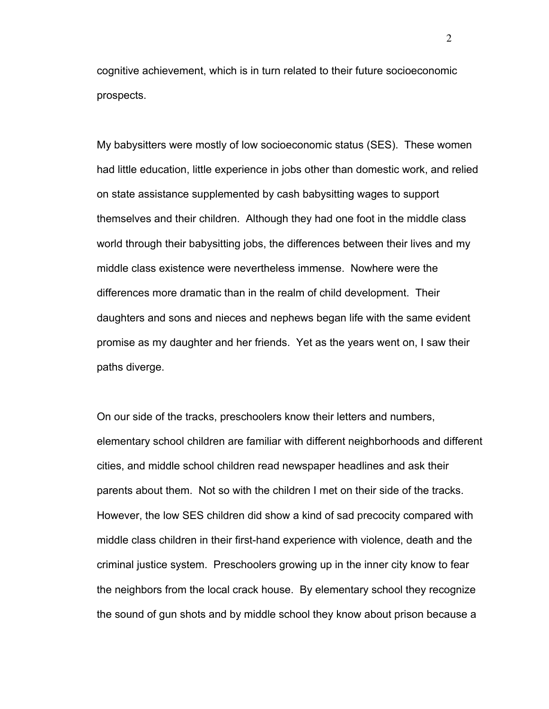cognitive achievement, which is in turn related to their future socioeconomic prospects.

My babysitters were mostly of low socioeconomic status (SES). These women had little education, little experience in jobs other than domestic work, and relied on state assistance supplemented by cash babysitting wages to support themselves and their children. Although they had one foot in the middle class world through their babysitting jobs, the differences between their lives and my middle class existence were nevertheless immense. Nowhere were the differences more dramatic than in the realm of child development. Their daughters and sons and nieces and nephews began life with the same evident promise as my daughter and her friends. Yet as the years went on, I saw their paths diverge.

On our side of the tracks, preschoolers know their letters and numbers, elementary school children are familiar with different neighborhoods and different cities, and middle school children read newspaper headlines and ask their parents about them. Not so with the children I met on their side of the tracks. However, the low SES children did show a kind of sad precocity compared with middle class children in their first-hand experience with violence, death and the criminal justice system. Preschoolers growing up in the inner city know to fear the neighbors from the local crack house. By elementary school they recognize the sound of gun shots and by middle school they know about prison because a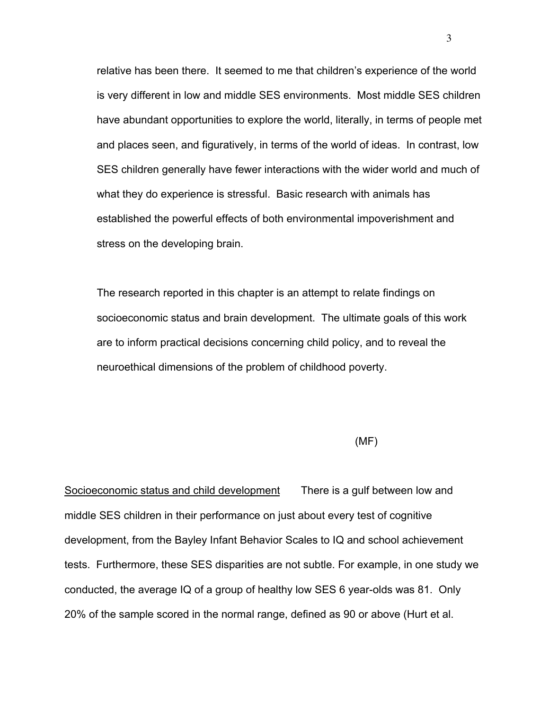relative has been there. It seemed to me that children's experience of the world is very different in low and middle SES environments. Most middle SES children have abundant opportunities to explore the world, literally, in terms of people met and places seen, and figuratively, in terms of the world of ideas. In contrast, low SES children generally have fewer interactions with the wider world and much of what they do experience is stressful. Basic research with animals has established the powerful effects of both environmental impoverishment and stress on the developing brain.

The research reported in this chapter is an attempt to relate findings on socioeconomic status and brain development. The ultimate goals of this work are to inform practical decisions concerning child policy, and to reveal the neuroethical dimensions of the problem of childhood poverty.

### (MF)

Socioeconomic status and child development There is a gulf between low and middle SES children in their performance on just about every test of cognitive development, from the Bayley Infant Behavior Scales to IQ and school achievement tests. Furthermore, these SES disparities are not subtle. For example, in one study we conducted, the average IQ of a group of healthy low SES 6 year-olds was 81. Only 20% of the sample scored in the normal range, defined as 90 or above (Hurt et al.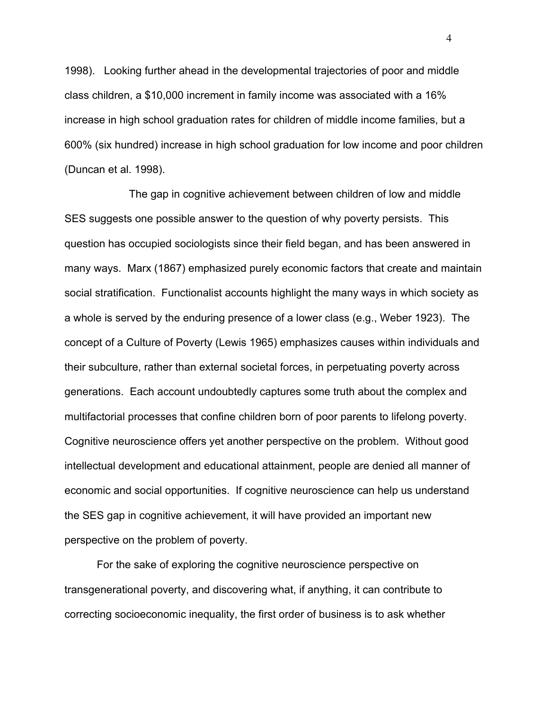1998). Looking further ahead in the developmental trajectories of poor and middle class children, a \$10,000 increment in family income was associated with a 16% increase in high school graduation rates for children of middle income families, but a 600% (six hundred) increase in high school graduation for low income and poor children (Duncan et al. 1998).

The gap in cognitive achievement between children of low and middle SES suggests one possible answer to the question of why poverty persists. This question has occupied sociologists since their field began, and has been answered in many ways. Marx (1867) emphasized purely economic factors that create and maintain social stratification. Functionalist accounts highlight the many ways in which society as a whole is served by the enduring presence of a lower class (e.g., Weber 1923). The concept of a Culture of Poverty (Lewis 1965) emphasizes causes within individuals and their subculture, rather than external societal forces, in perpetuating poverty across generations. Each account undoubtedly captures some truth about the complex and multifactorial processes that confine children born of poor parents to lifelong poverty. Cognitive neuroscience offers yet another perspective on the problem. Without good intellectual development and educational attainment, people are denied all manner of economic and social opportunities. If cognitive neuroscience can help us understand the SES gap in cognitive achievement, it will have provided an important new perspective on the problem of poverty.

For the sake of exploring the cognitive neuroscience perspective on transgenerational poverty, and discovering what, if anything, it can contribute to correcting socioeconomic inequality, the first order of business is to ask whether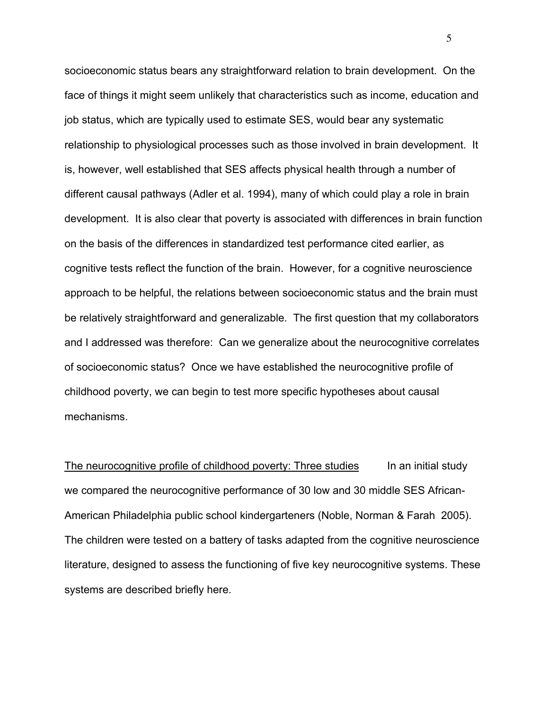socioeconomic status bears any straightforward relation to brain development. On the face of things it might seem unlikely that characteristics such as income, education and job status, which are typically used to estimate SES, would bear any systematic relationship to physiological processes such as those involved in brain development. It is, however, well established that SES affects physical health through a number of different causal pathways (Adler et al. 1994), many of which could play a role in brain development. It is also clear that poverty is associated with differences in brain function on the basis of the differences in standardized test performance cited earlier, as cognitive tests reflect the function of the brain. However, for a cognitive neuroscience approach to be helpful, the relations between socioeconomic status and the brain must be relatively straightforward and generalizable. The first question that my collaborators and I addressed was therefore: Can we generalize about the neurocognitive correlates of socioeconomic status? Once we have established the neurocognitive profile of childhood poverty, we can begin to test more specific hypotheses about causal mechanisms.

The neurocognitive profile of childhood poverty: Three studies In an initial study we compared the neurocognitive performance of 30 low and 30 middle SES African-American Philadelphia public school kindergarteners (Noble, Norman & Farah 2005). The children were tested on a battery of tasks adapted from the cognitive neuroscience literature, designed to assess the functioning of five key neurocognitive systems. These systems are described briefly here.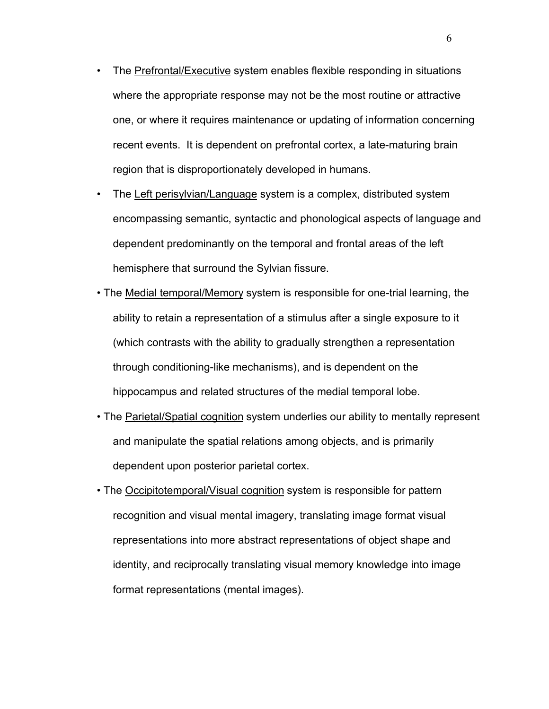- The Prefrontal/Executive system enables flexible responding in situations where the appropriate response may not be the most routine or attractive one, or where it requires maintenance or updating of information concerning recent events. It is dependent on prefrontal cortex, a late-maturing brain region that is disproportionately developed in humans.
- The Left perisylvian/Language system is a complex, distributed system encompassing semantic, syntactic and phonological aspects of language and dependent predominantly on the temporal and frontal areas of the left hemisphere that surround the Sylvian fissure.
- The Medial temporal/Memory system is responsible for one-trial learning, the ability to retain a representation of a stimulus after a single exposure to it (which contrasts with the ability to gradually strengthen a representation through conditioning-like mechanisms), and is dependent on the hippocampus and related structures of the medial temporal lobe.
- The Parietal/Spatial cognition system underlies our ability to mentally represent and manipulate the spatial relations among objects, and is primarily dependent upon posterior parietal cortex.
- The Occipitotemporal/Visual cognition system is responsible for pattern recognition and visual mental imagery, translating image format visual representations into more abstract representations of object shape and identity, and reciprocally translating visual memory knowledge into image format representations (mental images).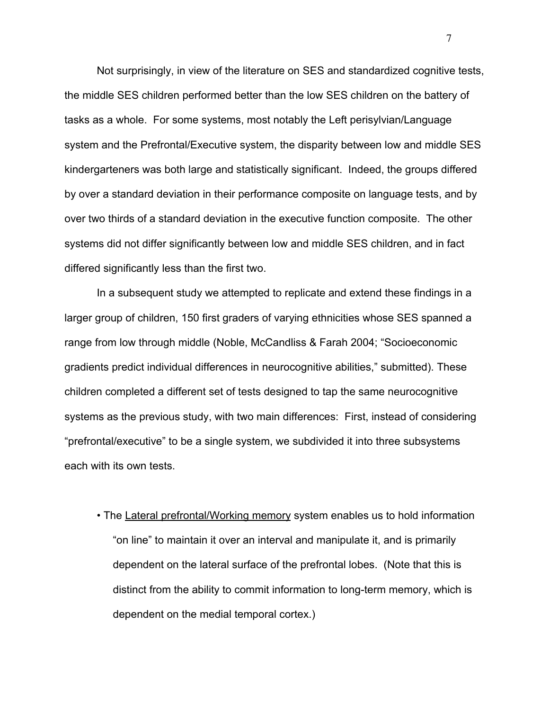Not surprisingly, in view of the literature on SES and standardized cognitive tests, the middle SES children performed better than the low SES children on the battery of tasks as a whole. For some systems, most notably the Left perisylvian/Language system and the Prefrontal/Executive system, the disparity between low and middle SES kindergarteners was both large and statistically significant. Indeed, the groups differed by over a standard deviation in their performance composite on language tests, and by over two thirds of a standard deviation in the executive function composite. The other systems did not differ significantly between low and middle SES children, and in fact differed significantly less than the first two.

In a subsequent study we attempted to replicate and extend these findings in a larger group of children, 150 first graders of varying ethnicities whose SES spanned a range from low through middle (Noble, McCandliss & Farah 2004; "Socioeconomic gradients predict individual differences in neurocognitive abilities," submitted). These children completed a different set of tests designed to tap the same neurocognitive systems as the previous study, with two main differences: First, instead of considering "prefrontal/executive" to be a single system, we subdivided it into three subsystems each with its own tests.

• The Lateral prefrontal/Working memory system enables us to hold information "on line" to maintain it over an interval and manipulate it, and is primarily dependent on the lateral surface of the prefrontal lobes. (Note that this is distinct from the ability to commit information to long-term memory, which is dependent on the medial temporal cortex.)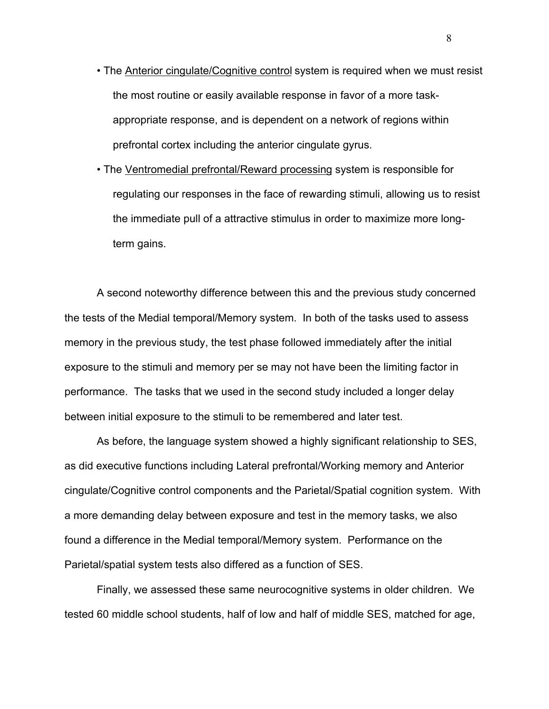- The **Anterior cingulate/Cognitive control** system is required when we must resist the most routine or easily available response in favor of a more taskappropriate response, and is dependent on a network of regions within prefrontal cortex including the anterior cingulate gyrus.
- The Ventromedial prefrontal/Reward processing system is responsible for regulating our responses in the face of rewarding stimuli, allowing us to resist the immediate pull of a attractive stimulus in order to maximize more longterm gains.

A second noteworthy difference between this and the previous study concerned the tests of the Medial temporal/Memory system. In both of the tasks used to assess memory in the previous study, the test phase followed immediately after the initial exposure to the stimuli and memory per se may not have been the limiting factor in performance. The tasks that we used in the second study included a longer delay between initial exposure to the stimuli to be remembered and later test.

As before, the language system showed a highly significant relationship to SES, as did executive functions including Lateral prefrontal/Working memory and Anterior cingulate/Cognitive control components and the Parietal/Spatial cognition system. With a more demanding delay between exposure and test in the memory tasks, we also found a difference in the Medial temporal/Memory system. Performance on the Parietal/spatial system tests also differed as a function of SES.

Finally, we assessed these same neurocognitive systems in older children. We tested 60 middle school students, half of low and half of middle SES, matched for age,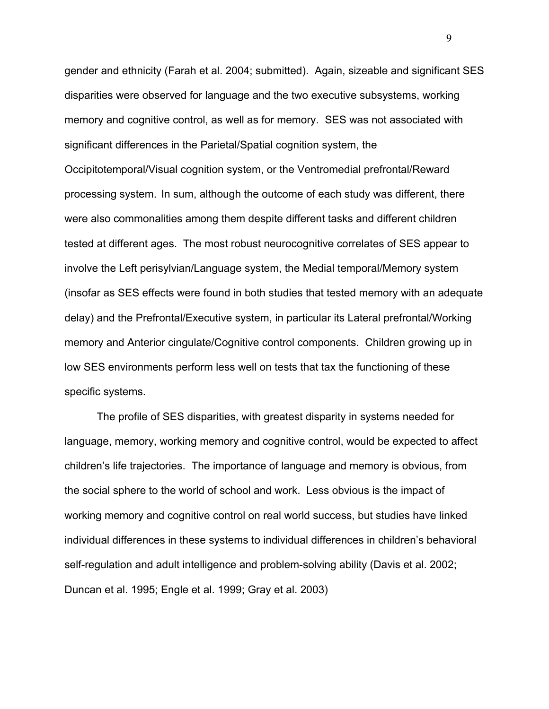gender and ethnicity (Farah et al. 2004; submitted). Again, sizeable and significant SES disparities were observed for language and the two executive subsystems, working memory and cognitive control, as well as for memory. SES was not associated with significant differences in the Parietal/Spatial cognition system, the

Occipitotemporal/Visual cognition system, or the Ventromedial prefrontal/Reward processing system. In sum, although the outcome of each study was different, there were also commonalities among them despite different tasks and different children tested at different ages. The most robust neurocognitive correlates of SES appear to involve the Left perisylvian/Language system, the Medial temporal/Memory system (insofar as SES effects were found in both studies that tested memory with an adequate delay) and the Prefrontal/Executive system, in particular its Lateral prefrontal/Working memory and Anterior cingulate/Cognitive control components. Children growing up in low SES environments perform less well on tests that tax the functioning of these specific systems.

The profile of SES disparities, with greatest disparity in systems needed for language, memory, working memory and cognitive control, would be expected to affect children's life trajectories. The importance of language and memory is obvious, from the social sphere to the world of school and work. Less obvious is the impact of working memory and cognitive control on real world success, but studies have linked individual differences in these systems to individual differences in children's behavioral self-regulation and adult intelligence and problem-solving ability (Davis et al. 2002; Duncan et al. 1995; Engle et al. 1999; Gray et al. 2003)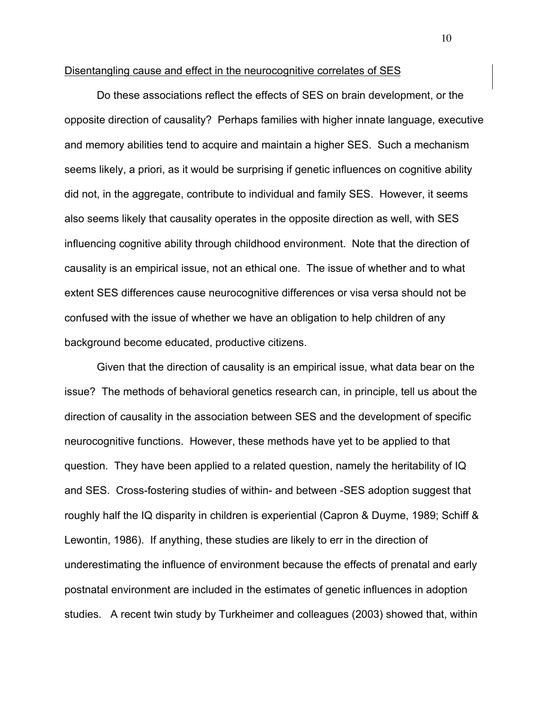#### Disentangling cause and effect in the neurocognitive correlates of SES

Do these associations reflect the effects of SES on brain development, or the opposite direction of causality? Perhaps families with higher innate language, executive and memory abilities tend to acquire and maintain a higher SES. Such a mechanism seems likely, a priori, as it would be surprising if genetic influences on cognitive ability did not, in the aggregate, contribute to individual and family SES. However, it seems also seems likely that causality operates in the opposite direction as well, with SES influencing cognitive ability through childhood environment. Note that the direction of causality is an empirical issue, not an ethical one. The issue of whether and to what extent SES differences cause neurocognitive differences or visa versa should not be confused with the issue of whether we have an obligation to help children of any background become educated, productive citizens.

Given that the direction of causality is an empirical issue, what data bear on the issue? The methods of behavioral genetics research can, in principle, tell us about the direction of causality in the association between SES and the development of specific neurocognitive functions. However, these methods have yet to be applied to that question. They have been applied to a related question, namely the heritability of IQ and SES. Cross-fostering studies of within- and between -SES adoption suggest that roughly half the IQ disparity in children is experiential (Capron & Duyme, 1989; Schiff & Lewontin, 1986). If anything, these studies are likely to err in the direction of underestimating the influence of environment because the effects of prenatal and early postnatal environment are included in the estimates of genetic influences in adoption studies. A recent twin study by Turkheimer and colleagues (2003) showed that, within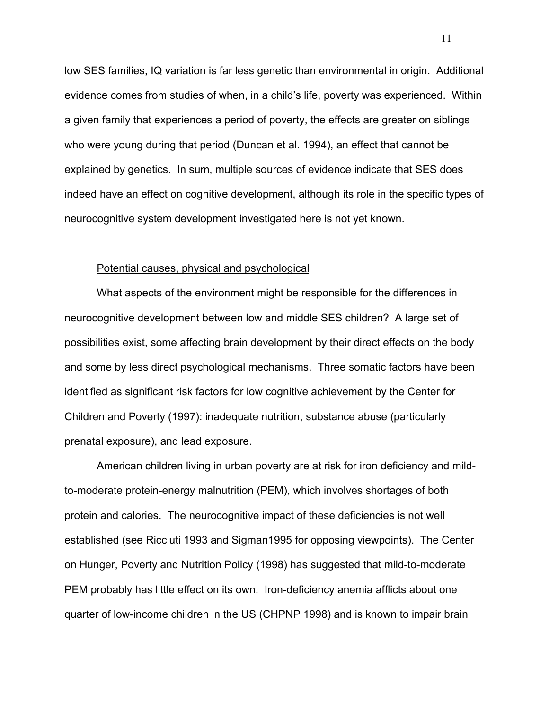low SES families, IQ variation is far less genetic than environmental in origin. Additional evidence comes from studies of when, in a child's life, poverty was experienced. Within a given family that experiences a period of poverty, the effects are greater on siblings who were young during that period (Duncan et al. 1994), an effect that cannot be explained by genetics. In sum, multiple sources of evidence indicate that SES does indeed have an effect on cognitive development, although its role in the specific types of neurocognitive system development investigated here is not yet known.

#### Potential causes, physical and psychological

What aspects of the environment might be responsible for the differences in neurocognitive development between low and middle SES children? A large set of possibilities exist, some affecting brain development by their direct effects on the body and some by less direct psychological mechanisms. Three somatic factors have been identified as significant risk factors for low cognitive achievement by the Center for Children and Poverty (1997): inadequate nutrition, substance abuse (particularly prenatal exposure), and lead exposure.

American children living in urban poverty are at risk for iron deficiency and mildto-moderate protein-energy malnutrition (PEM), which involves shortages of both protein and calories. The neurocognitive impact of these deficiencies is not well established (see Ricciuti 1993 and Sigman1995 for opposing viewpoints). The Center on Hunger, Poverty and Nutrition Policy (1998) has suggested that mild-to-moderate PEM probably has little effect on its own. Iron-deficiency anemia afflicts about one quarter of low-income children in the US (CHPNP 1998) and is known to impair brain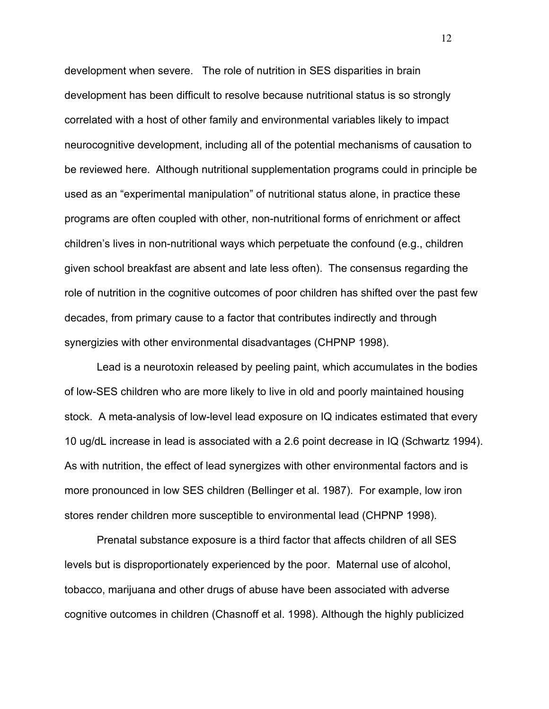development when severe. The role of nutrition in SES disparities in brain development has been difficult to resolve because nutritional status is so strongly correlated with a host of other family and environmental variables likely to impact neurocognitive development, including all of the potential mechanisms of causation to be reviewed here. Although nutritional supplementation programs could in principle be used as an "experimental manipulation" of nutritional status alone, in practice these programs are often coupled with other, non-nutritional forms of enrichment or affect children's lives in non-nutritional ways which perpetuate the confound (e.g., children given school breakfast are absent and late less often). The consensus regarding the role of nutrition in the cognitive outcomes of poor children has shifted over the past few decades, from primary cause to a factor that contributes indirectly and through synergizies with other environmental disadvantages (CHPNP 1998).

Lead is a neurotoxin released by peeling paint, which accumulates in the bodies of low-SES children who are more likely to live in old and poorly maintained housing stock. A meta-analysis of low-level lead exposure on IQ indicates estimated that every 10 ug/dL increase in lead is associated with a 2.6 point decrease in IQ (Schwartz 1994). As with nutrition, the effect of lead synergizes with other environmental factors and is more pronounced in low SES children (Bellinger et al. 1987). For example, low iron stores render children more susceptible to environmental lead (CHPNP 1998).

Prenatal substance exposure is a third factor that affects children of all SES levels but is disproportionately experienced by the poor. Maternal use of alcohol, tobacco, marijuana and other drugs of abuse have been associated with adverse cognitive outcomes in children (Chasnoff et al. 1998). Although the highly publicized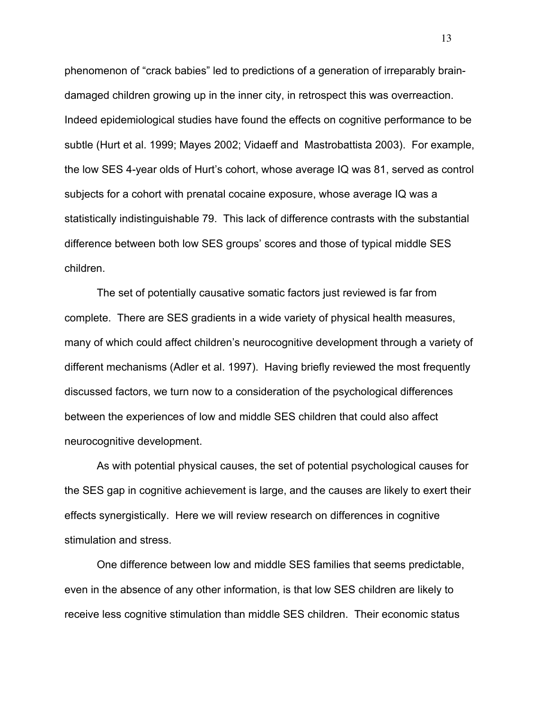phenomenon of "crack babies" led to predictions of a generation of irreparably braindamaged children growing up in the inner city, in retrospect this was overreaction. Indeed epidemiological studies have found the effects on cognitive performance to be subtle (Hurt et al. 1999; Mayes 2002; Vidaeff and Mastrobattista 2003). For example, the low SES 4-year olds of Hurt's cohort, whose average IQ was 81, served as control subjects for a cohort with prenatal cocaine exposure, whose average IQ was a statistically indistinguishable 79. This lack of difference contrasts with the substantial difference between both low SES groups' scores and those of typical middle SES children.

The set of potentially causative somatic factors just reviewed is far from complete. There are SES gradients in a wide variety of physical health measures, many of which could affect children's neurocognitive development through a variety of different mechanisms (Adler et al. 1997). Having briefly reviewed the most frequently discussed factors, we turn now to a consideration of the psychological differences between the experiences of low and middle SES children that could also affect neurocognitive development.

As with potential physical causes, the set of potential psychological causes for the SES gap in cognitive achievement is large, and the causes are likely to exert their effects synergistically. Here we will review research on differences in cognitive stimulation and stress.

One difference between low and middle SES families that seems predictable, even in the absence of any other information, is that low SES children are likely to receive less cognitive stimulation than middle SES children. Their economic status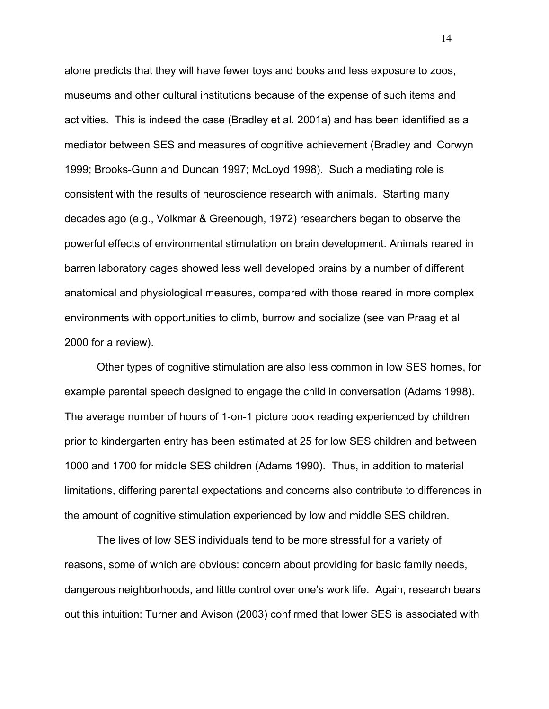alone predicts that they will have fewer toys and books and less exposure to zoos, museums and other cultural institutions because of the expense of such items and activities. This is indeed the case (Bradley et al. 2001a) and has been identified as a mediator between SES and measures of cognitive achievement (Bradley and Corwyn 1999; Brooks-Gunn and Duncan 1997; McLoyd 1998). Such a mediating role is consistent with the results of neuroscience research with animals. Starting many decades ago (e.g., Volkmar & Greenough, 1972) researchers began to observe the powerful effects of environmental stimulation on brain development. Animals reared in barren laboratory cages showed less well developed brains by a number of different anatomical and physiological measures, compared with those reared in more complex environments with opportunities to climb, burrow and socialize (see van Praag et al 2000 for a review).

Other types of cognitive stimulation are also less common in low SES homes, for example parental speech designed to engage the child in conversation (Adams 1998). The average number of hours of 1-on-1 picture book reading experienced by children prior to kindergarten entry has been estimated at 25 for low SES children and between 1000 and 1700 for middle SES children (Adams 1990). Thus, in addition to material limitations, differing parental expectations and concerns also contribute to differences in the amount of cognitive stimulation experienced by low and middle SES children.

The lives of low SES individuals tend to be more stressful for a variety of reasons, some of which are obvious: concern about providing for basic family needs, dangerous neighborhoods, and little control over one's work life. Again, research bears out this intuition: Turner and Avison (2003) confirmed that lower SES is associated with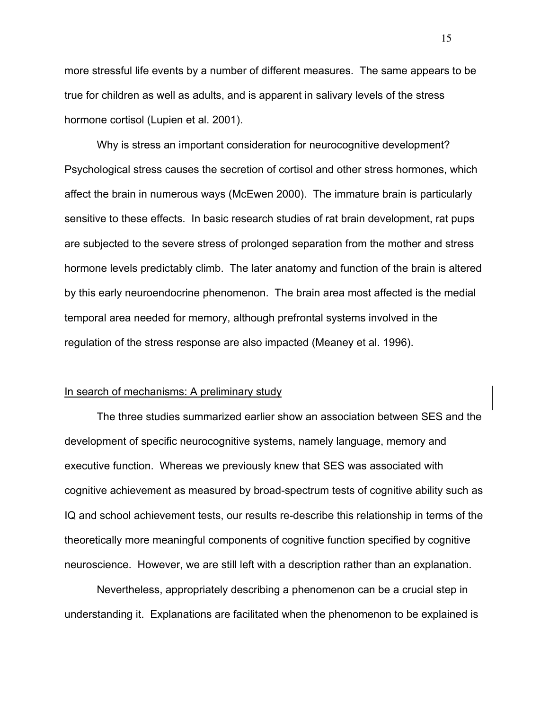more stressful life events by a number of different measures. The same appears to be true for children as well as adults, and is apparent in salivary levels of the stress hormone cortisol (Lupien et al. 2001).

Why is stress an important consideration for neurocognitive development? Psychological stress causes the secretion of cortisol and other stress hormones, which affect the brain in numerous ways (McEwen 2000). The immature brain is particularly sensitive to these effects. In basic research studies of rat brain development, rat pups are subjected to the severe stress of prolonged separation from the mother and stress hormone levels predictably climb. The later anatomy and function of the brain is altered by this early neuroendocrine phenomenon. The brain area most affected is the medial temporal area needed for memory, although prefrontal systems involved in the regulation of the stress response are also impacted (Meaney et al. 1996).

#### In search of mechanisms: A preliminary study

The three studies summarized earlier show an association between SES and the development of specific neurocognitive systems, namely language, memory and executive function. Whereas we previously knew that SES was associated with cognitive achievement as measured by broad-spectrum tests of cognitive ability such as IQ and school achievement tests, our results re-describe this relationship in terms of the theoretically more meaningful components of cognitive function specified by cognitive neuroscience. However, we are still left with a description rather than an explanation.

Nevertheless, appropriately describing a phenomenon can be a crucial step in understanding it. Explanations are facilitated when the phenomenon to be explained is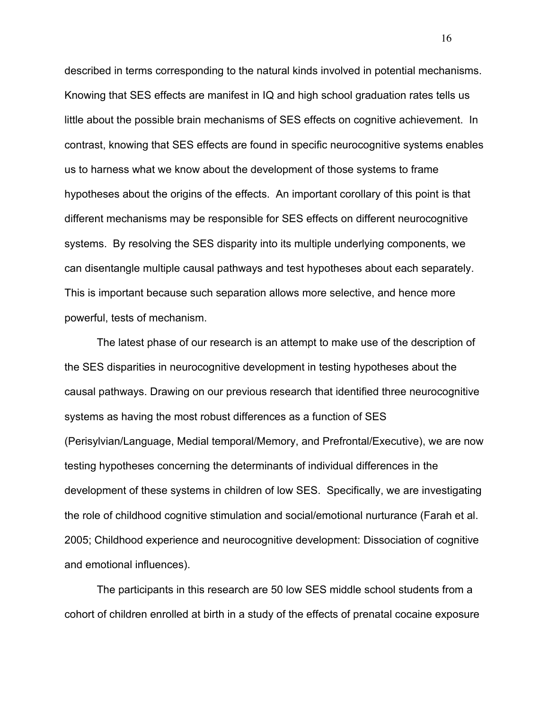described in terms corresponding to the natural kinds involved in potential mechanisms. Knowing that SES effects are manifest in IQ and high school graduation rates tells us little about the possible brain mechanisms of SES effects on cognitive achievement. In contrast, knowing that SES effects are found in specific neurocognitive systems enables us to harness what we know about the development of those systems to frame hypotheses about the origins of the effects. An important corollary of this point is that different mechanisms may be responsible for SES effects on different neurocognitive systems. By resolving the SES disparity into its multiple underlying components, we can disentangle multiple causal pathways and test hypotheses about each separately. This is important because such separation allows more selective, and hence more powerful, tests of mechanism.

The latest phase of our research is an attempt to make use of the description of the SES disparities in neurocognitive development in testing hypotheses about the causal pathways. Drawing on our previous research that identified three neurocognitive systems as having the most robust differences as a function of SES (Perisylvian/Language, Medial temporal/Memory, and Prefrontal/Executive), we are now testing hypotheses concerning the determinants of individual differences in the development of these systems in children of low SES. Specifically, we are investigating the role of childhood cognitive stimulation and social/emotional nurturance (Farah et al. 2005; Childhood experience and neurocognitive development: Dissociation of cognitive and emotional influences).

The participants in this research are 50 low SES middle school students from a cohort of children enrolled at birth in a study of the effects of prenatal cocaine exposure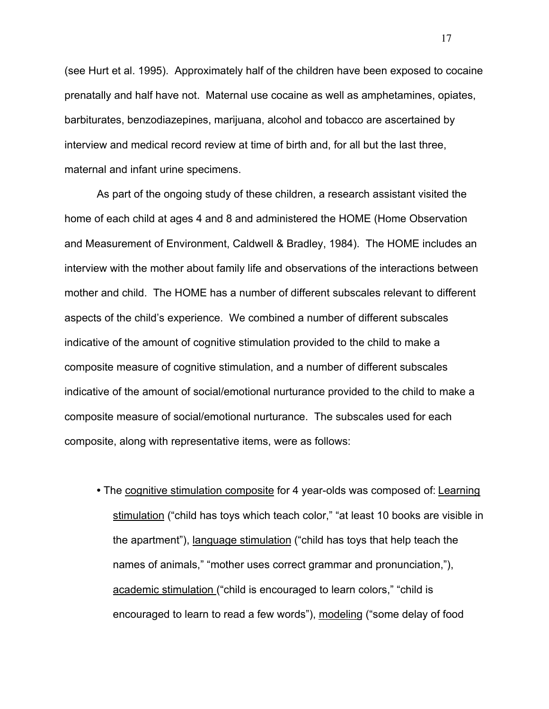(see Hurt et al. 1995). Approximately half of the children have been exposed to cocaine prenatally and half have not. Maternal use cocaine as well as amphetamines, opiates, barbiturates, benzodiazepines, marijuana, alcohol and tobacco are ascertained by interview and medical record review at time of birth and, for all but the last three, maternal and infant urine specimens.

As part of the ongoing study of these children, a research assistant visited the home of each child at ages 4 and 8 and administered the HOME (Home Observation and Measurement of Environment, Caldwell & Bradley, 1984). The HOME includes an interview with the mother about family life and observations of the interactions between mother and child. The HOME has a number of different subscales relevant to different aspects of the child's experience. We combined a number of different subscales indicative of the amount of cognitive stimulation provided to the child to make a composite measure of cognitive stimulation, and a number of different subscales indicative of the amount of social/emotional nurturance provided to the child to make a composite measure of social/emotional nurturance. The subscales used for each composite, along with representative items, were as follows:

**•** The cognitive stimulation composite for 4 year-olds was composed of: Learning stimulation ("child has toys which teach color," "at least 10 books are visible in the apartment"), language stimulation ("child has toys that help teach the names of animals," "mother uses correct grammar and pronunciation,"), academic stimulation ("child is encouraged to learn colors," "child is encouraged to learn to read a few words"), modeling ("some delay of food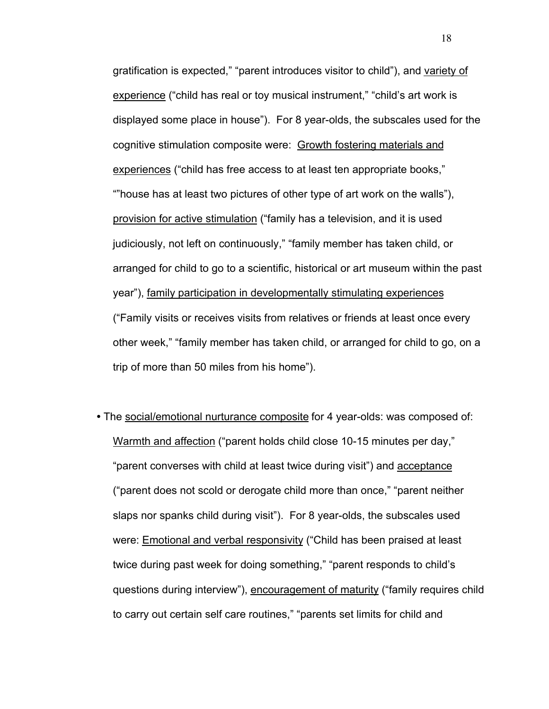gratification is expected," "parent introduces visitor to child"), and variety of experience ("child has real or toy musical instrument," "child's art work is displayed some place in house"). For 8 year-olds, the subscales used for the cognitive stimulation composite were: Growth fostering materials and experiences ("child has free access to at least ten appropriate books," ""house has at least two pictures of other type of art work on the walls"), provision for active stimulation ("family has a television, and it is used judiciously, not left on continuously," "family member has taken child, or arranged for child to go to a scientific, historical or art museum within the past year"), family participation in developmentally stimulating experiences ("Family visits or receives visits from relatives or friends at least once every other week," "family member has taken child, or arranged for child to go, on a trip of more than 50 miles from his home").

**•** The social/emotional nurturance composite for 4 year-olds: was composed of: Warmth and affection ("parent holds child close 10-15 minutes per day," "parent converses with child at least twice during visit") and acceptance ("parent does not scold or derogate child more than once," "parent neither slaps nor spanks child during visit"). For 8 year-olds, the subscales used were: Emotional and verbal responsivity ("Child has been praised at least twice during past week for doing something," "parent responds to child's questions during interview"), encouragement of maturity ("family requires child to carry out certain self care routines," "parents set limits for child and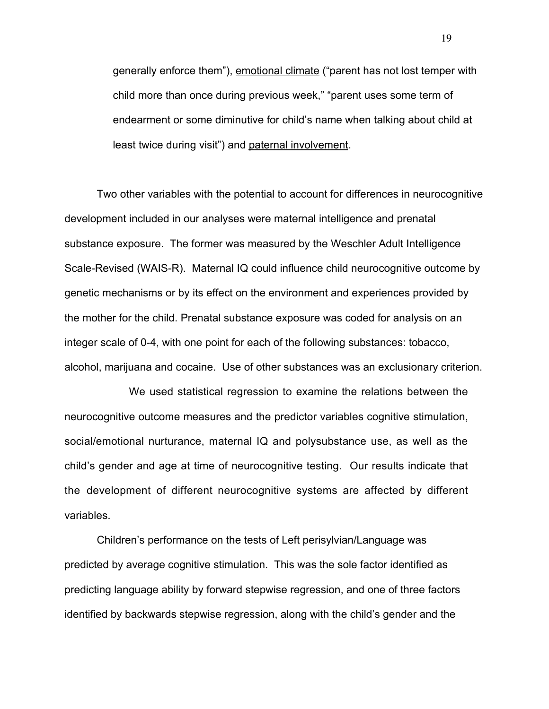generally enforce them"), emotional climate ("parent has not lost temper with child more than once during previous week," "parent uses some term of endearment or some diminutive for child's name when talking about child at least twice during visit") and paternal involvement.

Two other variables with the potential to account for differences in neurocognitive development included in our analyses were maternal intelligence and prenatal substance exposure. The former was measured by the Weschler Adult Intelligence Scale-Revised (WAIS-R). Maternal IQ could influence child neurocognitive outcome by genetic mechanisms or by its effect on the environment and experiences provided by the mother for the child. Prenatal substance exposure was coded for analysis on an integer scale of 0-4, with one point for each of the following substances: tobacco, alcohol, marijuana and cocaine. Use of other substances was an exclusionary criterion.

We used statistical regression to examine the relations between the neurocognitive outcome measures and the predictor variables cognitive stimulation, social/emotional nurturance, maternal IQ and polysubstance use, as well as the child's gender and age at time of neurocognitive testing. Our results indicate that the development of different neurocognitive systems are affected by different variables.

Children's performance on the tests of Left perisylvian/Language was predicted by average cognitive stimulation. This was the sole factor identified as predicting language ability by forward stepwise regression, and one of three factors identified by backwards stepwise regression, along with the child's gender and the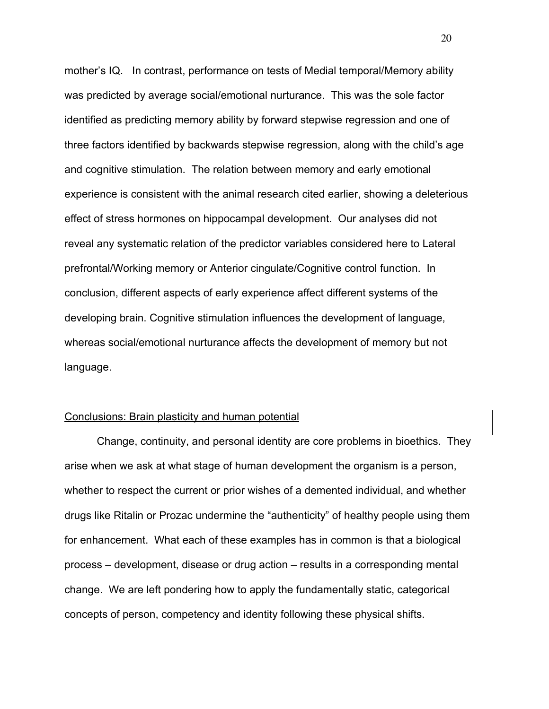mother's IQ. In contrast, performance on tests of Medial temporal/Memory ability was predicted by average social/emotional nurturance. This was the sole factor identified as predicting memory ability by forward stepwise regression and one of three factors identified by backwards stepwise regression, along with the child's age and cognitive stimulation. The relation between memory and early emotional experience is consistent with the animal research cited earlier, showing a deleterious effect of stress hormones on hippocampal development. Our analyses did not reveal any systematic relation of the predictor variables considered here to Lateral prefrontal/Working memory or Anterior cingulate/Cognitive control function. In conclusion, different aspects of early experience affect different systems of the developing brain. Cognitive stimulation influences the development of language, whereas social/emotional nurturance affects the development of memory but not language.

### Conclusions: Brain plasticity and human potential

Change, continuity, and personal identity are core problems in bioethics. They arise when we ask at what stage of human development the organism is a person, whether to respect the current or prior wishes of a demented individual, and whether drugs like Ritalin or Prozac undermine the "authenticity" of healthy people using them for enhancement. What each of these examples has in common is that a biological process – development, disease or drug action – results in a corresponding mental change. We are left pondering how to apply the fundamentally static, categorical concepts of person, competency and identity following these physical shifts.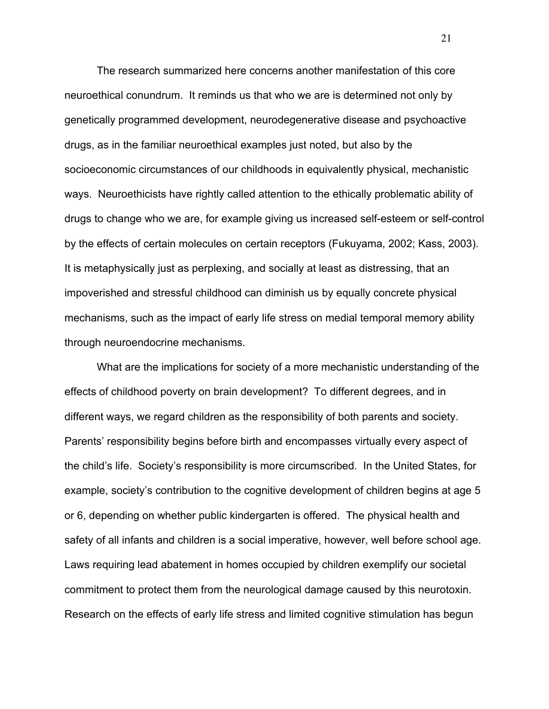The research summarized here concerns another manifestation of this core neuroethical conundrum. It reminds us that who we are is determined not only by genetically programmed development, neurodegenerative disease and psychoactive drugs, as in the familiar neuroethical examples just noted, but also by the socioeconomic circumstances of our childhoods in equivalently physical, mechanistic ways. Neuroethicists have rightly called attention to the ethically problematic ability of drugs to change who we are, for example giving us increased self-esteem or self-control by the effects of certain molecules on certain receptors (Fukuyama, 2002; Kass, 2003). It is metaphysically just as perplexing, and socially at least as distressing, that an impoverished and stressful childhood can diminish us by equally concrete physical mechanisms, such as the impact of early life stress on medial temporal memory ability through neuroendocrine mechanisms.

What are the implications for society of a more mechanistic understanding of the effects of childhood poverty on brain development? To different degrees, and in different ways, we regard children as the responsibility of both parents and society. Parents' responsibility begins before birth and encompasses virtually every aspect of the child's life. Society's responsibility is more circumscribed. In the United States, for example, society's contribution to the cognitive development of children begins at age 5 or 6, depending on whether public kindergarten is offered. The physical health and safety of all infants and children is a social imperative, however, well before school age. Laws requiring lead abatement in homes occupied by children exemplify our societal commitment to protect them from the neurological damage caused by this neurotoxin. Research on the effects of early life stress and limited cognitive stimulation has begun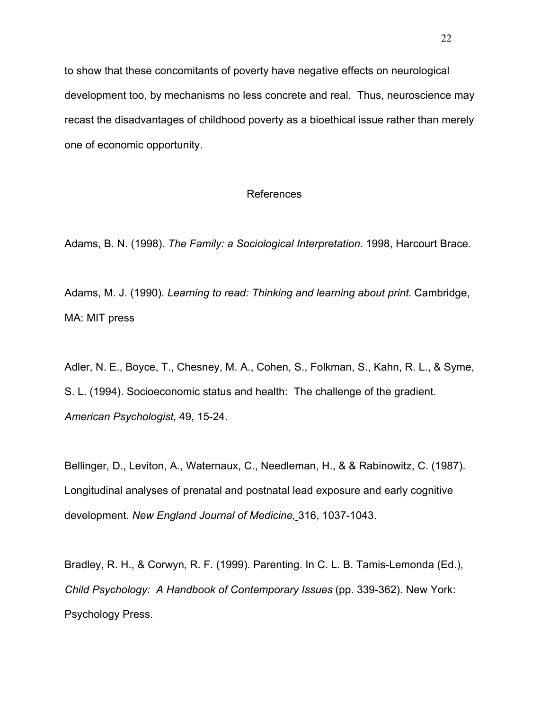to show that these concomitants of poverty have negative effects on neurological development too, by mechanisms no less concrete and real. Thus, neuroscience may recast the disadvantages of childhood poverty as a bioethical issue rather than merely one of economic opportunity.

# References

Adams, B. N. (1998). *The Family: a Sociological Interpretation*. 1998, Harcourt Brace.

Adams, M. J. (1990). *Learning to read: Thinking and learning about print.* Cambridge, MA: MIT press

Adler, N. E., Boyce, T., Chesney, M. A., Cohen, S., Folkman, S., Kahn, R. L., & Syme, S. L. (1994). Socioeconomic status and health: The challenge of the gradient. *American Psychologist,* 49, 15-24.

Bellinger, D., Leviton, A., Waternaux, C., Needleman, H., & & Rabinowitz, C. (1987). Longitudinal analyses of prenatal and postnatal lead exposure and early cognitive development. *New England Journal of Medicine,* 316, 1037-1043.

Bradley, R. H., & Corwyn, R. F. (1999). Parenting. In C. L. B. Tamis-Lemonda (Ed.), *Child Psychology: A Handbook of Contemporary Issues* (pp. 339-362). New York: Psychology Press.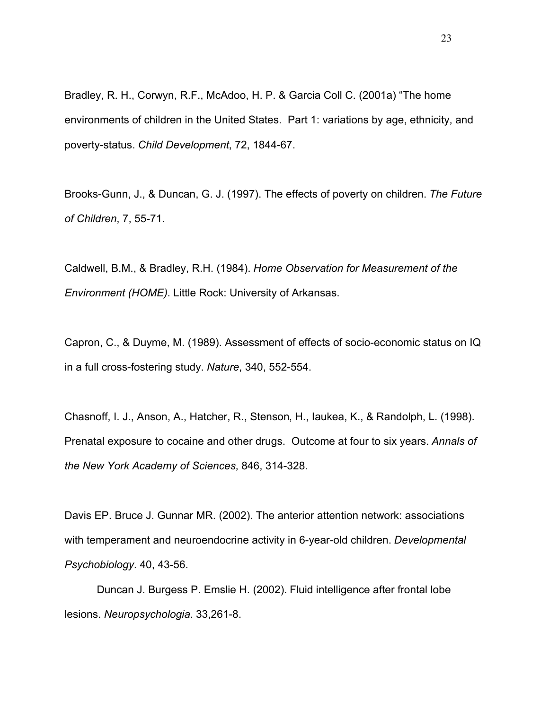Bradley, R. H., Corwyn, R.F., McAdoo, H. P. & Garcia Coll C. (2001a) "The home environments of children in the United States. Part 1: variations by age, ethnicity, and poverty-status. *Child Development*, 72, 1844-67.

Brooks-Gunn, J., & Duncan, G. J. (1997). The effects of poverty on children. *The Future of Children*, 7, 55-71.

Caldwell, B.M., & Bradley, R.H. (1984). *Home Observation for Measurement of the Environment (HOME)*. Little Rock: University of Arkansas.

Capron, C., & Duyme, M. (1989). Assessment of effects of socio-economic status on IQ in a full cross-fostering study. *Nature*, 340, 552-554.

Chasnoff, I. J., Anson, A., Hatcher, R., Stenson, H., Iaukea, K., & Randolph, L. (1998). Prenatal exposure to cocaine and other drugs. Outcome at four to six years. *Annals of the New York Academy of Sciences*, 846, 314-328.

Davis EP. Bruce J. Gunnar MR. (2002). The anterior attention network: associations with temperament and neuroendocrine activity in 6-year-old children. *Developmental Psychobiology*. 40, 43-56.

Duncan J. Burgess P. Emslie H. (2002). Fluid intelligence after frontal lobe lesions. *Neuropsychologia*. 33,261-8.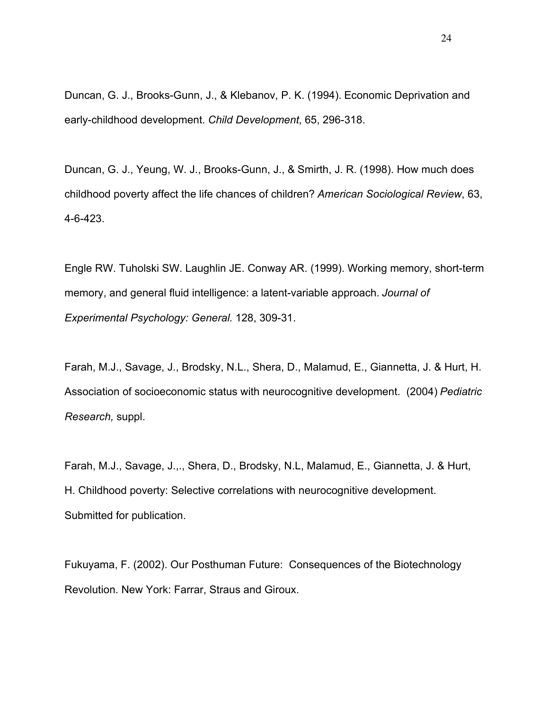Duncan, G. J., Brooks-Gunn, J., & Klebanov, P. K. (1994). Economic Deprivation and early-childhood development. *Child Development*, 65, 296-318.

Duncan, G. J., Yeung, W. J., Brooks-Gunn, J., & Smirth, J. R. (1998). How much does childhood poverty affect the life chances of children? *American Sociological Review*, 63, 4-6-423.

Engle RW. Tuholski SW. Laughlin JE. Conway AR. (1999). Working memory, short-term memory, and general fluid intelligence: a latent-variable approach. *Journal of Experimental Psychology: General.* 128, 309-31.

Farah, M.J., Savage, J., Brodsky, N.L., Shera, D., Malamud, E., Giannetta, J. & Hurt, H. Association of socioeconomic status with neurocognitive development. (2004) *Pediatric Research,* suppl.

Farah, M.J., Savage, J.,., Shera, D., Brodsky, N.L, Malamud, E., Giannetta, J. & Hurt, H. Childhood poverty: Selective correlations with neurocognitive development. Submitted for publication.

Fukuyama, F. (2002). Our Posthuman Future: Consequences of the Biotechnology Revolution. New York: Farrar, Straus and Giroux.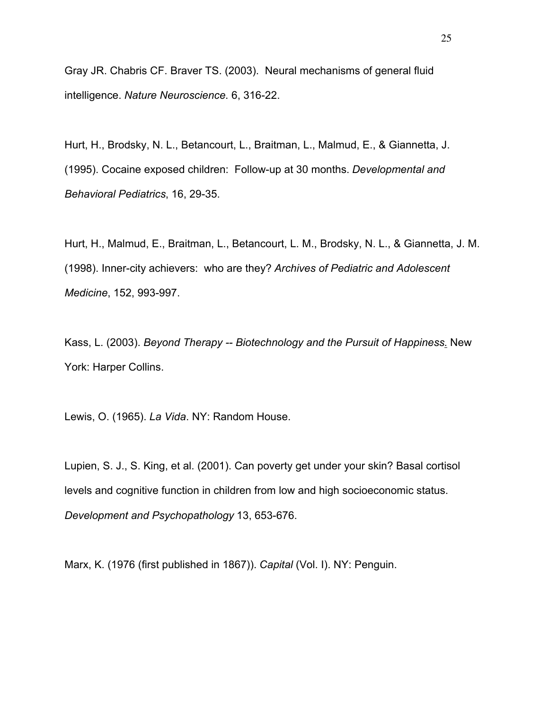Gray JR. Chabris CF. Braver TS. (2003). Neural mechanisms of general fluid intelligence. *Nature Neuroscience*. 6, 316-22.

Hurt, H., Brodsky, N. L., Betancourt, L., Braitman, L., Malmud, E., & Giannetta, J. (1995). Cocaine exposed children: Follow-up at 30 months. *Developmental and Behavioral Pediatrics*, 16, 29-35.

Hurt, H., Malmud, E., Braitman, L., Betancourt, L. M., Brodsky, N. L., & Giannetta, J. M. (1998). Inner-city achievers: who are they? *Archives of Pediatric and Adolescent Medicine*, 152, 993-997.

Kass, L. (2003). *Beyond Therapy -- Biotechnology and the Pursuit of Happiness*. New York: Harper Collins.

Lewis, O. (1965). *La Vida*. NY: Random House.

Lupien, S. J., S. King, et al. (2001). Can poverty get under your skin? Basal cortisol levels and cognitive function in children from low and high socioeconomic status. *Development and Psychopathology* 13, 653-676.

Marx, K. (1976 (first published in 1867)). *Capital* (Vol. I). NY: Penguin.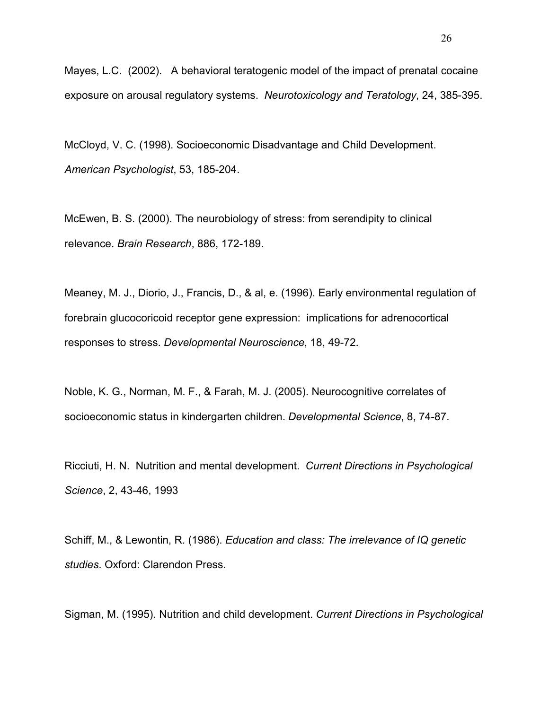Mayes, L.C. (2002). A behavioral teratogenic model of the impact of prenatal cocaine exposure on arousal regulatory systems. *Neurotoxicology and Teratology*, 24, 385-395.

McCloyd, V. C. (1998). Socioeconomic Disadvantage and Child Development. *American Psychologist*, 53, 185-204.

McEwen, B. S. (2000). The neurobiology of stress: from serendipity to clinical relevance. *Brain Research*, 886, 172-189.

Meaney, M. J., Diorio, J., Francis, D., & al, e. (1996). Early environmental regulation of forebrain glucocoricoid receptor gene expression: implications for adrenocortical responses to stress. *Developmental Neuroscience*, 18, 49-72.

Noble, K. G., Norman, M. F., & Farah, M. J. (2005). Neurocognitive correlates of socioeconomic status in kindergarten children. *Developmental Science*, 8, 74-87.

Ricciuti, H. N. Nutrition and mental development. *Current Directions in Psychological Science*, 2, 43-46, 1993

Schiff, M., & Lewontin, R. (1986). *Education and class: The irrelevance of IQ genetic studies*. Oxford: Clarendon Press.

Sigman, M. (1995). Nutrition and child development. *Current Directions in Psychological*